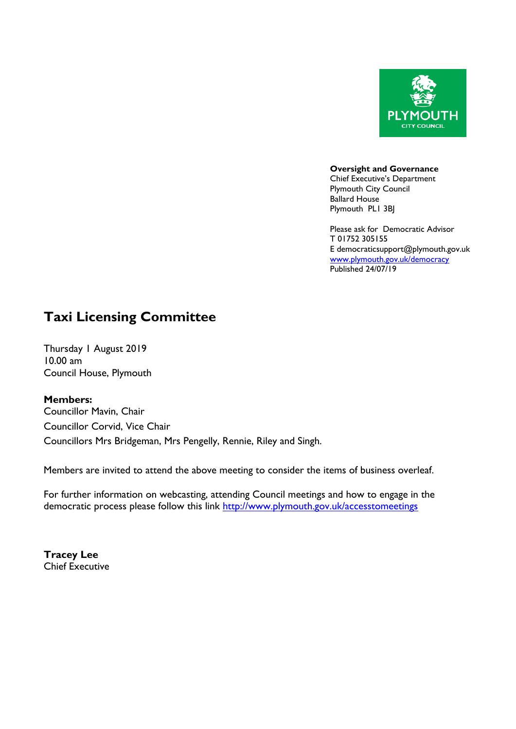

**Oversight and Governance** Chief Executive's Department Plymouth City Council Ballard House Plymouth PL1 3BJ

Please ask for Democratic Advisor T 01752 305155 E democraticsupport@plymouth.gov.uk [www.plymouth.gov.uk](http://www.plymouth.gov.uk/)/democracy Published 24/07/19

# **Taxi Licensing Committee**

Thursday 1 August 2019 10.00 am Council House, Plymouth

**Members:**

Councillor Mavin, Chair Councillor Corvid, Vice Chair Councillors Mrs Bridgeman, Mrs Pengelly, Rennie, Riley and Singh.

Members are invited to attend the above meeting to consider the items of business overleaf.

For further information on webcasting, attending Council meetings and how to engage in the democratic process please follow this link <http://www.plymouth.gov.uk/accesstomeetings>

**Tracey Lee** Chief Executive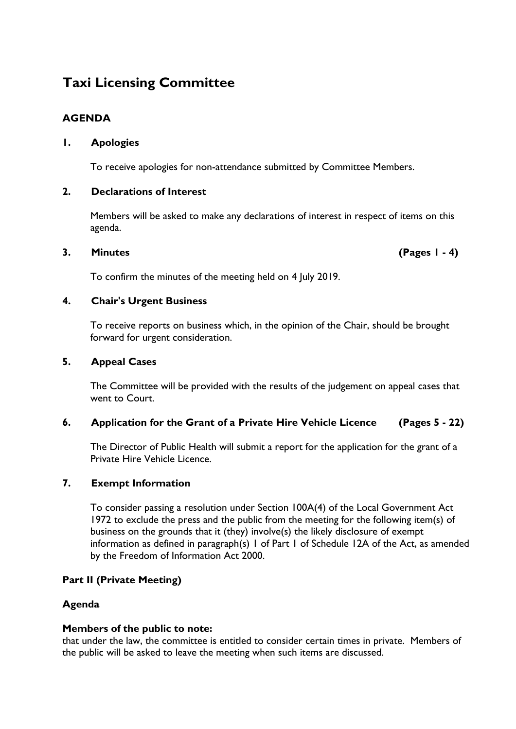# **Taxi Licensing Committee**

# **AGENDA**

# **1. Apologies**

To receive apologies for non-attendance submitted by Committee Members.

## **2. Declarations of Interest**

Members will be asked to make any declarations of interest in respect of items on this agenda.

## **3. Minutes (Pages 1 - 4)**

To confirm the minutes of the meeting held on 4 July 2019.

# **4. Chair's Urgent Business**

To receive reports on business which, in the opinion of the Chair, should be brought forward for urgent consideration.

#### **5. Appeal Cases**

The Committee will be provided with the results of the judgement on appeal cases that went to Court.

## **6. Application for the Grant of a Private Hire Vehicle Licence (Pages 5 - 22)**

The Director of Public Health will submit a report for the application for the grant of a Private Hire Vehicle Licence.

## **7. Exempt Information**

To consider passing a resolution under Section 100A(4) of the Local Government Act 1972 to exclude the press and the public from the meeting for the following item(s) of business on the grounds that it (they) involve(s) the likely disclosure of exempt information as defined in paragraph(s) 1 of Part 1 of Schedule 12A of the Act, as amended by the Freedom of Information Act 2000.

## **Part II (Private Meeting)**

## **Agenda**

## **Members of the public to note:**

that under the law, the committee is entitled to consider certain times in private. Members of the public will be asked to leave the meeting when such items are discussed.